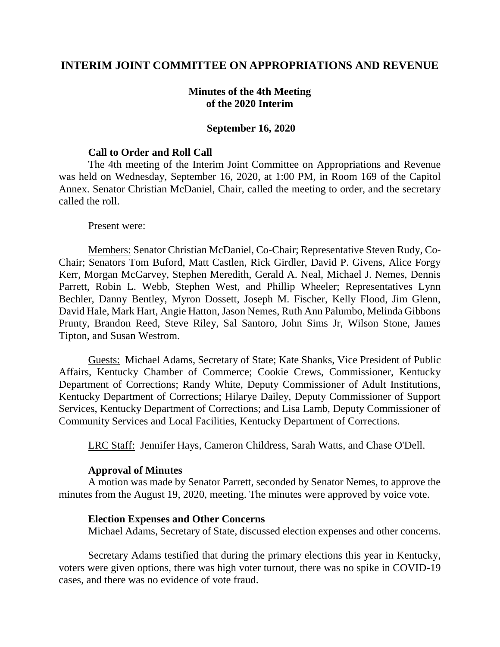## **INTERIM JOINT COMMITTEE ON APPROPRIATIONS AND REVENUE**

## **Minutes of the 4th Meeting of the 2020 Interim**

### **September 16, 2020**

### **Call to Order and Roll Call**

The 4th meeting of the Interim Joint Committee on Appropriations and Revenue was held on Wednesday, September 16, 2020, at 1:00 PM, in Room 169 of the Capitol Annex. Senator Christian McDaniel, Chair, called the meeting to order, and the secretary called the roll.

#### Present were:

Members: Senator Christian McDaniel, Co-Chair; Representative Steven Rudy, Co-Chair; Senators Tom Buford, Matt Castlen, Rick Girdler, David P. Givens, Alice Forgy Kerr, Morgan McGarvey, Stephen Meredith, Gerald A. Neal, Michael J. Nemes, Dennis Parrett, Robin L. Webb, Stephen West, and Phillip Wheeler; Representatives Lynn Bechler, Danny Bentley, Myron Dossett, Joseph M. Fischer, Kelly Flood, Jim Glenn, David Hale, Mark Hart, Angie Hatton, Jason Nemes, Ruth Ann Palumbo, Melinda Gibbons Prunty, Brandon Reed, Steve Riley, Sal Santoro, John Sims Jr, Wilson Stone, James Tipton, and Susan Westrom.

Guests: Michael Adams, Secretary of State; Kate Shanks, Vice President of Public Affairs, Kentucky Chamber of Commerce; Cookie Crews, Commissioner, Kentucky Department of Corrections; Randy White, Deputy Commissioner of Adult Institutions, Kentucky Department of Corrections; Hilarye Dailey, Deputy Commissioner of Support Services, Kentucky Department of Corrections; and Lisa Lamb, Deputy Commissioner of Community Services and Local Facilities, Kentucky Department of Corrections.

LRC Staff: Jennifer Hays, Cameron Childress, Sarah Watts, and Chase O'Dell.

### **Approval of Minutes**

A motion was made by Senator Parrett, seconded by Senator Nemes, to approve the minutes from the August 19, 2020, meeting. The minutes were approved by voice vote.

#### **Election Expenses and Other Concerns**

Michael Adams, Secretary of State, discussed election expenses and other concerns.

Secretary Adams testified that during the primary elections this year in Kentucky, voters were given options, there was high voter turnout, there was no spike in COVID-19 cases, and there was no evidence of vote fraud.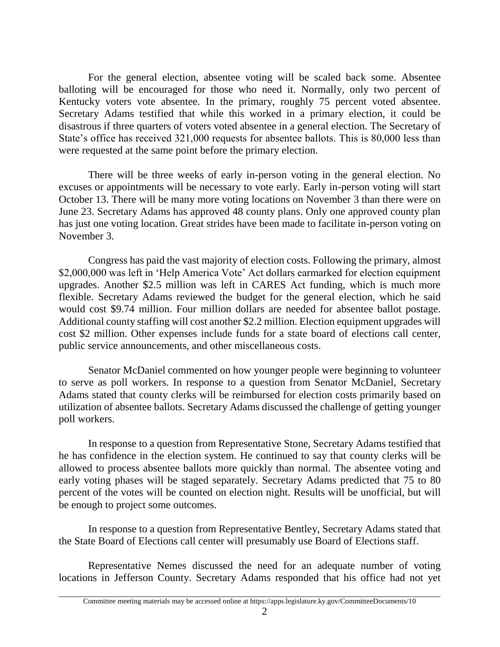For the general election, absentee voting will be scaled back some. Absentee balloting will be encouraged for those who need it. Normally, only two percent of Kentucky voters vote absentee. In the primary, roughly 75 percent voted absentee. Secretary Adams testified that while this worked in a primary election, it could be disastrous if three quarters of voters voted absentee in a general election. The Secretary of State's office has received 321,000 requests for absentee ballots. This is 80,000 less than were requested at the same point before the primary election.

There will be three weeks of early in-person voting in the general election. No excuses or appointments will be necessary to vote early. Early in-person voting will start October 13. There will be many more voting locations on November 3 than there were on June 23. Secretary Adams has approved 48 county plans. Only one approved county plan has just one voting location. Great strides have been made to facilitate in-person voting on November 3.

Congress has paid the vast majority of election costs. Following the primary, almost \$2,000,000 was left in 'Help America Vote' Act dollars earmarked for election equipment upgrades. Another \$2.5 million was left in CARES Act funding, which is much more flexible. Secretary Adams reviewed the budget for the general election, which he said would cost \$9.74 million. Four million dollars are needed for absentee ballot postage. Additional county staffing will cost another \$2.2 million. Election equipment upgrades will cost \$2 million. Other expenses include funds for a state board of elections call center, public service announcements, and other miscellaneous costs.

Senator McDaniel commented on how younger people were beginning to volunteer to serve as poll workers. In response to a question from Senator McDaniel, Secretary Adams stated that county clerks will be reimbursed for election costs primarily based on utilization of absentee ballots. Secretary Adams discussed the challenge of getting younger poll workers.

In response to a question from Representative Stone, Secretary Adams testified that he has confidence in the election system. He continued to say that county clerks will be allowed to process absentee ballots more quickly than normal. The absentee voting and early voting phases will be staged separately. Secretary Adams predicted that 75 to 80 percent of the votes will be counted on election night. Results will be unofficial, but will be enough to project some outcomes.

In response to a question from Representative Bentley, Secretary Adams stated that the State Board of Elections call center will presumably use Board of Elections staff.

Representative Nemes discussed the need for an adequate number of voting locations in Jefferson County. Secretary Adams responded that his office had not yet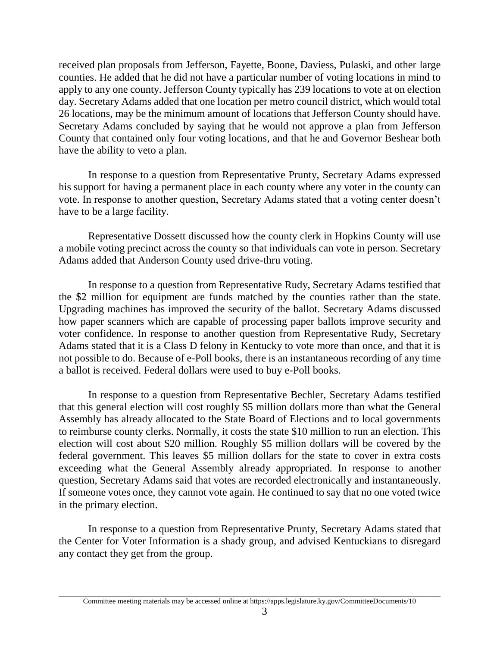received plan proposals from Jefferson, Fayette, Boone, Daviess, Pulaski, and other large counties. He added that he did not have a particular number of voting locations in mind to apply to any one county. Jefferson County typically has 239 locations to vote at on election day. Secretary Adams added that one location per metro council district, which would total 26 locations, may be the minimum amount of locations that Jefferson County should have. Secretary Adams concluded by saying that he would not approve a plan from Jefferson County that contained only four voting locations, and that he and Governor Beshear both have the ability to veto a plan.

In response to a question from Representative Prunty, Secretary Adams expressed his support for having a permanent place in each county where any voter in the county can vote. In response to another question, Secretary Adams stated that a voting center doesn't have to be a large facility.

Representative Dossett discussed how the county clerk in Hopkins County will use a mobile voting precinct across the county so that individuals can vote in person. Secretary Adams added that Anderson County used drive-thru voting.

In response to a question from Representative Rudy, Secretary Adams testified that the \$2 million for equipment are funds matched by the counties rather than the state. Upgrading machines has improved the security of the ballot. Secretary Adams discussed how paper scanners which are capable of processing paper ballots improve security and voter confidence. In response to another question from Representative Rudy, Secretary Adams stated that it is a Class D felony in Kentucky to vote more than once, and that it is not possible to do. Because of e-Poll books, there is an instantaneous recording of any time a ballot is received. Federal dollars were used to buy e-Poll books.

In response to a question from Representative Bechler, Secretary Adams testified that this general election will cost roughly \$5 million dollars more than what the General Assembly has already allocated to the State Board of Elections and to local governments to reimburse county clerks. Normally, it costs the state \$10 million to run an election. This election will cost about \$20 million. Roughly \$5 million dollars will be covered by the federal government. This leaves \$5 million dollars for the state to cover in extra costs exceeding what the General Assembly already appropriated. In response to another question, Secretary Adams said that votes are recorded electronically and instantaneously. If someone votes once, they cannot vote again. He continued to say that no one voted twice in the primary election.

In response to a question from Representative Prunty, Secretary Adams stated that the Center for Voter Information is a shady group, and advised Kentuckians to disregard any contact they get from the group.

Committee meeting materials may be accessed online at https://apps.legislature.ky.gov/CommitteeDocuments/10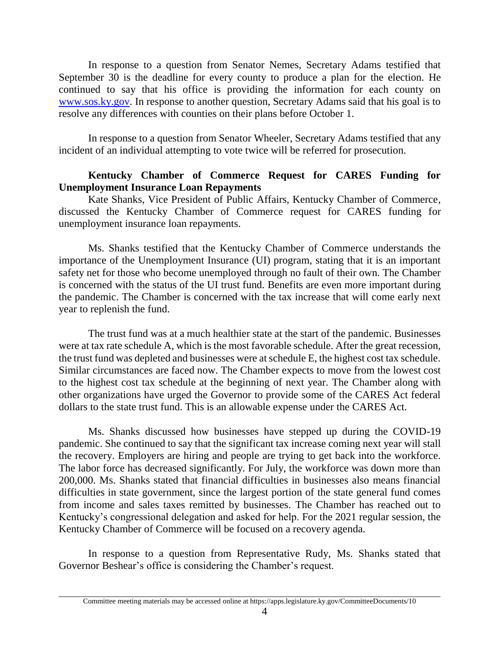In response to a question from Senator Nemes, Secretary Adams testified that September 30 is the deadline for every county to produce a plan for the election. He continued to say that his office is providing the information for each county on [www.sos.ky.gov.](http://www.sos.ky.gov/) In response to another question, Secretary Adams said that his goal is to resolve any differences with counties on their plans before October 1.

In response to a question from Senator Wheeler, Secretary Adams testified that any incident of an individual attempting to vote twice will be referred for prosecution.

## **Kentucky Chamber of Commerce Request for CARES Funding for Unemployment Insurance Loan Repayments**

Kate Shanks, Vice President of Public Affairs, Kentucky Chamber of Commerce, discussed the Kentucky Chamber of Commerce request for CARES funding for unemployment insurance loan repayments.

Ms. Shanks testified that the Kentucky Chamber of Commerce understands the importance of the Unemployment Insurance (UI) program, stating that it is an important safety net for those who become unemployed through no fault of their own. The Chamber is concerned with the status of the UI trust fund. Benefits are even more important during the pandemic. The Chamber is concerned with the tax increase that will come early next year to replenish the fund.

The trust fund was at a much healthier state at the start of the pandemic. Businesses were at tax rate schedule A, which is the most favorable schedule. After the great recession, the trust fund was depleted and businesses were at schedule E, the highest cost tax schedule. Similar circumstances are faced now. The Chamber expects to move from the lowest cost to the highest cost tax schedule at the beginning of next year. The Chamber along with other organizations have urged the Governor to provide some of the CARES Act federal dollars to the state trust fund. This is an allowable expense under the CARES Act.

Ms. Shanks discussed how businesses have stepped up during the COVID-19 pandemic. She continued to say that the significant tax increase coming next year will stall the recovery. Employers are hiring and people are trying to get back into the workforce. The labor force has decreased significantly. For July, the workforce was down more than 200,000. Ms. Shanks stated that financial difficulties in businesses also means financial difficulties in state government, since the largest portion of the state general fund comes from income and sales taxes remitted by businesses. The Chamber has reached out to Kentucky's congressional delegation and asked for help. For the 2021 regular session, the Kentucky Chamber of Commerce will be focused on a recovery agenda.

In response to a question from Representative Rudy, Ms. Shanks stated that Governor Beshear's office is considering the Chamber's request.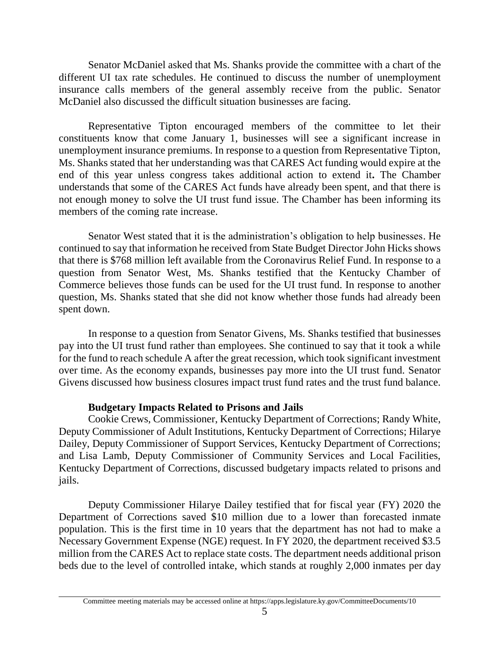Senator McDaniel asked that Ms. Shanks provide the committee with a chart of the different UI tax rate schedules. He continued to discuss the number of unemployment insurance calls members of the general assembly receive from the public. Senator McDaniel also discussed the difficult situation businesses are facing.

Representative Tipton encouraged members of the committee to let their constituents know that come January 1, businesses will see a significant increase in unemployment insurance premiums. In response to a question from Representative Tipton, Ms. Shanks stated that her understanding was that CARES Act funding would expire at the end of this year unless congress takes additional action to extend it**.** The Chamber understands that some of the CARES Act funds have already been spent, and that there is not enough money to solve the UI trust fund issue. The Chamber has been informing its members of the coming rate increase.

Senator West stated that it is the administration's obligation to help businesses. He continued to say that information he received from State Budget Director John Hicks shows that there is \$768 million left available from the Coronavirus Relief Fund. In response to a question from Senator West, Ms. Shanks testified that the Kentucky Chamber of Commerce believes those funds can be used for the UI trust fund. In response to another question, Ms. Shanks stated that she did not know whether those funds had already been spent down.

In response to a question from Senator Givens, Ms. Shanks testified that businesses pay into the UI trust fund rather than employees. She continued to say that it took a while for the fund to reach schedule A after the great recession, which took significant investment over time. As the economy expands, businesses pay more into the UI trust fund. Senator Givens discussed how business closures impact trust fund rates and the trust fund balance.

# **Budgetary Impacts Related to Prisons and Jails**

Cookie Crews, Commissioner, Kentucky Department of Corrections; Randy White, Deputy Commissioner of Adult Institutions, Kentucky Department of Corrections; Hilarye Dailey, Deputy Commissioner of Support Services, Kentucky Department of Corrections; and Lisa Lamb, Deputy Commissioner of Community Services and Local Facilities, Kentucky Department of Corrections, discussed budgetary impacts related to prisons and jails.

Deputy Commissioner Hilarye Dailey testified that for fiscal year (FY) 2020 the Department of Corrections saved \$10 million due to a lower than forecasted inmate population. This is the first time in 10 years that the department has not had to make a Necessary Government Expense (NGE) request. In FY 2020, the department received \$3.5 million from the CARES Act to replace state costs. The department needs additional prison beds due to the level of controlled intake, which stands at roughly 2,000 inmates per day